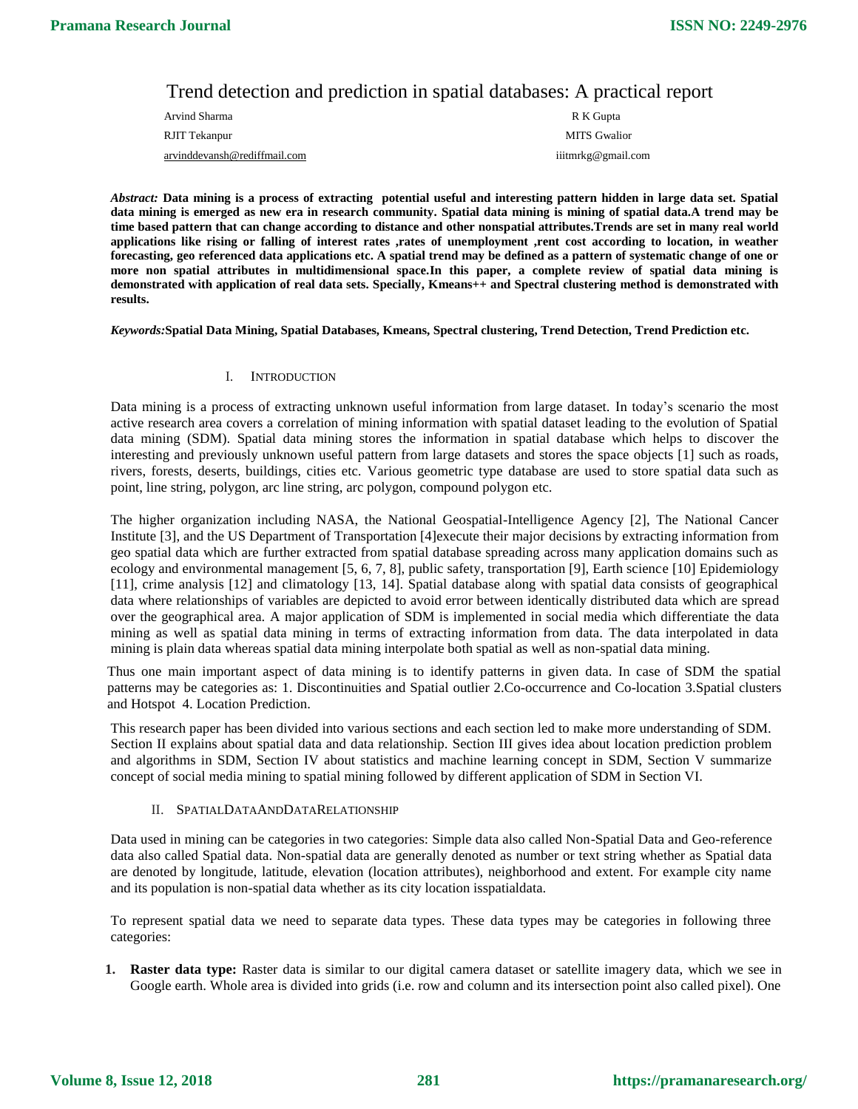# Trend detection and prediction in spatial databases: A practical report

| Arvind Sharma                | R K Gupta          |
|------------------------------|--------------------|
| RJIT Tekanpur                | MITS Gwalior       |
| arvinddevansh@rediffmail.com | iiitmrkg@gmail.com |

*Abstract:* **Data mining is a process of extracting potential useful and interesting pattern hidden in large data set. Spatial data mining is emerged as new era in research community. Spatial data mining is mining of spatial data.A trend may be time based pattern that can change according to distance and other nonspatial attributes.Trends are set in many real world applications like rising or falling of interest rates ,rates of unemployment ,rent cost according to location, in weather forecasting, geo referenced data applications etc. A spatial trend may be defined as a pattern of systematic change of one or more non spatial attributes in multidimensional space.In this paper, a complete review of spatial data mining is demonstrated with application of real data sets. Specially, Kmeans++ and Spectral clustering method is demonstrated with results.**

#### *Keywords:***Spatial Data Mining, Spatial Databases, Kmeans, Spectral clustering, Trend Detection, Trend Prediction etc.**

## I. INTRODUCTION

Data mining is a process of extracting unknown useful information from large dataset. In today's scenario the most active research area covers a correlation of mining information with spatial dataset leading to the evolution of Spatial data mining (SDM). Spatial data mining stores the information in spatial database which helps to discover the interesting and previously unknown useful pattern from large datasets and stores the space objects [1] such as roads, rivers, forests, deserts, buildings, cities etc. Various geometric type database are used to store spatial data such as point, line string, polygon, arc line string, arc polygon, compound polygon etc.

The higher organization including NASA, the National Geospatial-Intelligence Agency [2], The National Cancer Institute [3], and the US Department of Transportation [4]execute their major decisions by extracting information from geo spatial data which are further extracted from spatial database spreading across many application domains such as ecology and environmental management [5, 6, 7, 8], public safety, transportation [9], Earth science [10] Epidemiology [11], crime analysis [12] and climatology [13, 14]. Spatial database along with spatial data consists of geographical data where relationships of variables are depicted to avoid error between identically distributed data which are spread over the geographical area. A major application of SDM is implemented in social media which differentiate the data mining as well as spatial data mining in terms of extracting information from data. The data interpolated in data mining is plain data whereas spatial data mining interpolate both spatial as well as non-spatial data mining.

Thus one main important aspect of data mining is to identify patterns in given data. In case of SDM the spatial patterns may be categories as: 1. Discontinuities and Spatial outlier 2.Co-occurrence and Co-location 3.Spatial clusters and Hotspot 4. Location Prediction.

This research paper has been divided into various sections and each section led to make more understanding of SDM. Section II explains about spatial data and data relationship. Section III gives idea about location prediction problem and algorithms in SDM, Section IV about statistics and machine learning concept in SDM, Section V summarize concept of social media mining to spatial mining followed by different application of SDM in Section VI.

## II. SPATIALDATAANDDATARELATIONSHIP

Data used in mining can be categories in two categories: Simple data also called Non-Spatial Data and Geo-reference data also called Spatial data. Non-spatial data are generally denoted as number or text string whether as Spatial data are denoted by longitude, latitude, elevation (location attributes), neighborhood and extent. For example city name and its population is non-spatial data whether as its city location isspatialdata.

To represent spatial data we need to separate data types. These data types may be categories in following three categories:

**1. Raster data type:** Raster data is similar to our digital camera dataset or satellite imagery data, which we see in Google earth. Whole area is divided into grids (i.e. row and column and its intersection point also called pixel). One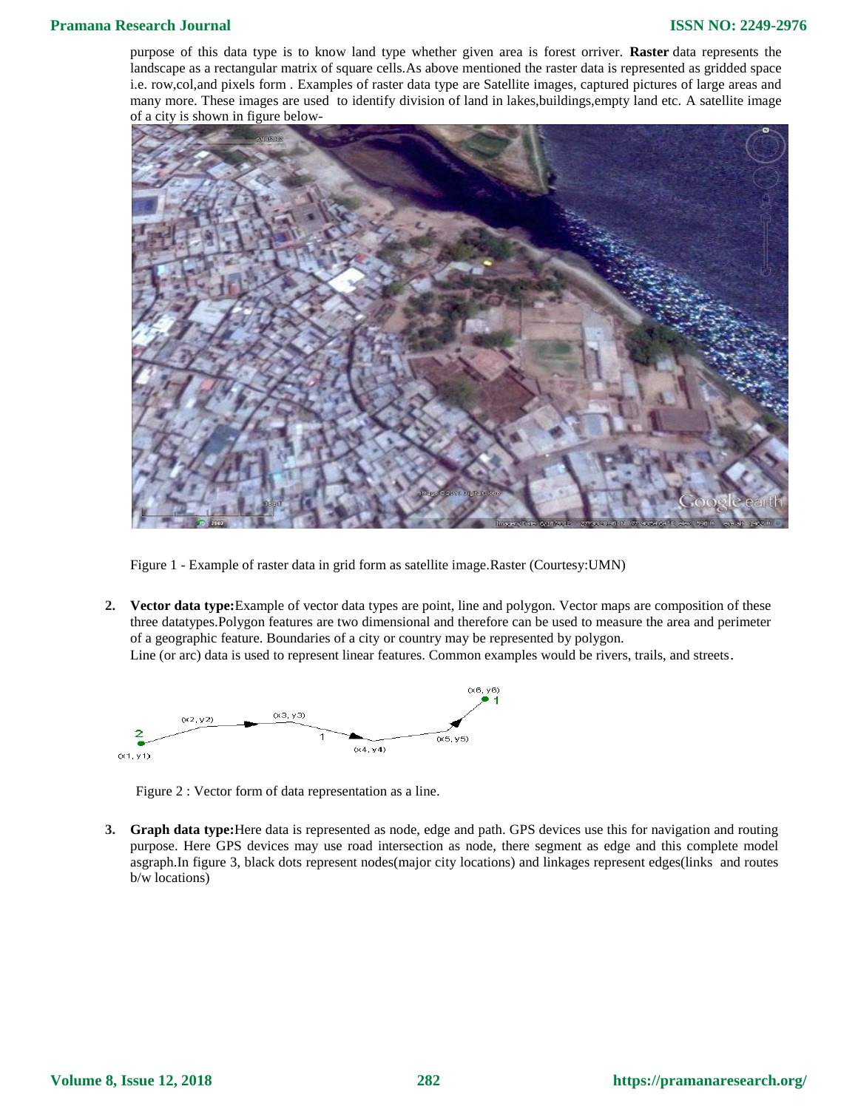purpose of this data type is to know land type whether given area is forest orriver. **Raster** data represents the landscape as a rectangular matrix of square cells.As above mentioned the raster data is represented as gridded space i.e. row,col,and pixels form . Examples of raster data type are Satellite images, captured pictures of large areas and many more. These images are used to identify division of land in lakes,buildings,empty land etc. A satellite image of a city is shown in figure below-



Figure 1 - Example of raster data in grid form as satellite image.Raster (Courtesy:UMN)

**2. Vector data type:**Example of vector data types are point, line and polygon. Vector maps are composition of these three datatypes.Polygon features are two dimensional and therefore can be used to measure the area and perimeter of a geographic feature. Boundaries of a city or country may be represented by polygon. Line (or arc) data is used to represent linear features. Common examples would be rivers, trails, and streets.



Figure 2 : Vector form of data representation as a line.

**3. Graph data type:**Here data is represented as node, edge and path. GPS devices use this for navigation and routing purpose. Here GPS devices may use road intersection as node, there segment as edge and this complete model asgraph.In figure 3, black dots represent nodes(major city locations) and linkages represent edges(links and routes b/w locations)

**Volume 8, Issue 12, 2018**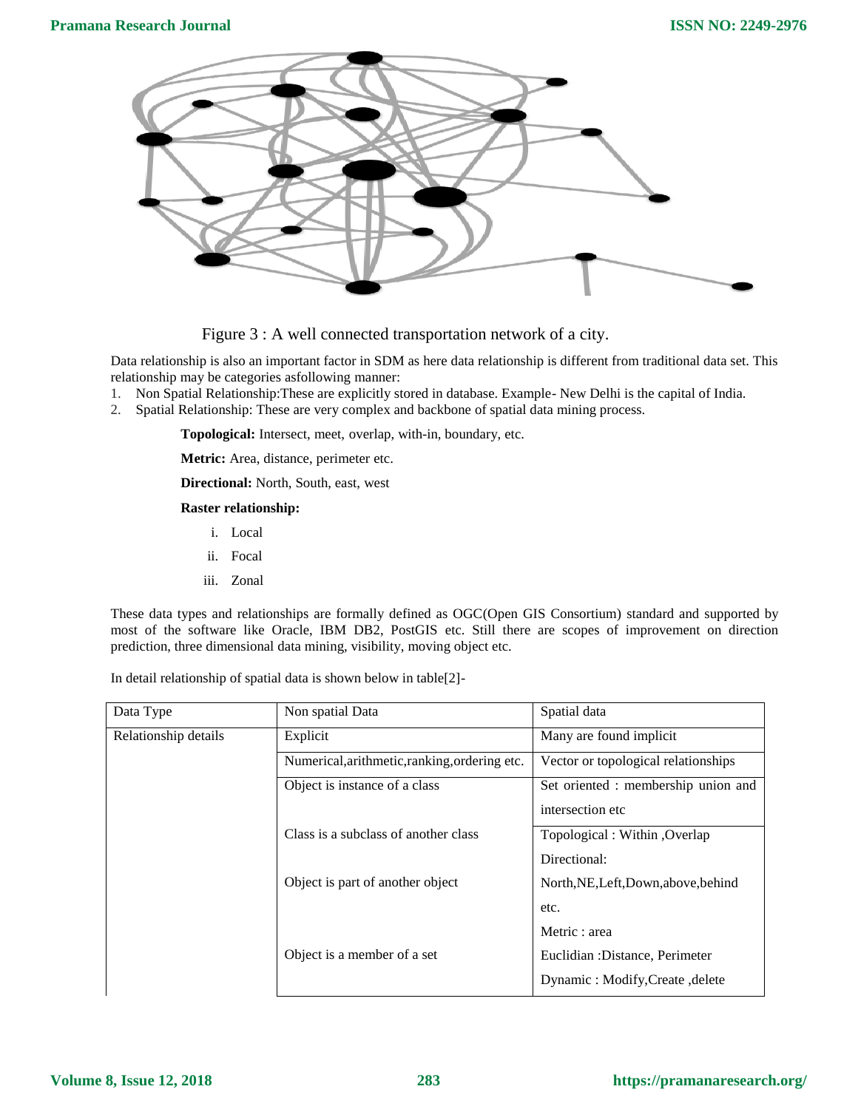

Figure 3 : A well connected transportation network of a city.

Data relationship is also an important factor in SDM as here data relationship is different from traditional data set. This relationship may be categories asfollowing manner:

1. Non Spatial Relationship:These are explicitly stored in database. Example- New Delhi is the capital of India.

2. Spatial Relationship: These are very complex and backbone of spatial data mining process.

**Topological:** Intersect, meet, overlap, with-in, boundary, etc.

**Metric:** Area, distance, perimeter etc.

**Directional:** North, South, east, west

**Raster relationship:**

- i. Local
- ii. Focal
- iii. Zonal

These data types and relationships are formally defined as OGC(Open GIS Consortium) standard and supported by most of the software like Oracle, IBM DB2, PostGIS etc. Still there are scopes of improvement on direction prediction, three dimensional data mining, visibility, moving object etc.

In detail relationship of spatial data is shown below in table[2]-

| Data Type            | Non spatial Data                              | Spatial data                         |  |  |
|----------------------|-----------------------------------------------|--------------------------------------|--|--|
| Relationship details | Explicit                                      | Many are found implicit              |  |  |
|                      | Numerical, arithmetic, ranking, ordering etc. | Vector or topological relationships  |  |  |
|                      | Object is instance of a class                 | Set oriented : membership union and  |  |  |
|                      |                                               | intersection etc.                    |  |  |
|                      | Class is a subclass of another class          | Topological : Within , Overlap       |  |  |
|                      |                                               | Directional:                         |  |  |
|                      | Object is part of another object              | North, NE, Left, Down, above, behind |  |  |
|                      |                                               | etc.                                 |  |  |
|                      |                                               | Metric : area                        |  |  |
|                      | Object is a member of a set                   | Euclidian : Distance, Perimeter      |  |  |
|                      |                                               | Dynamic: Modify, Create, delete      |  |  |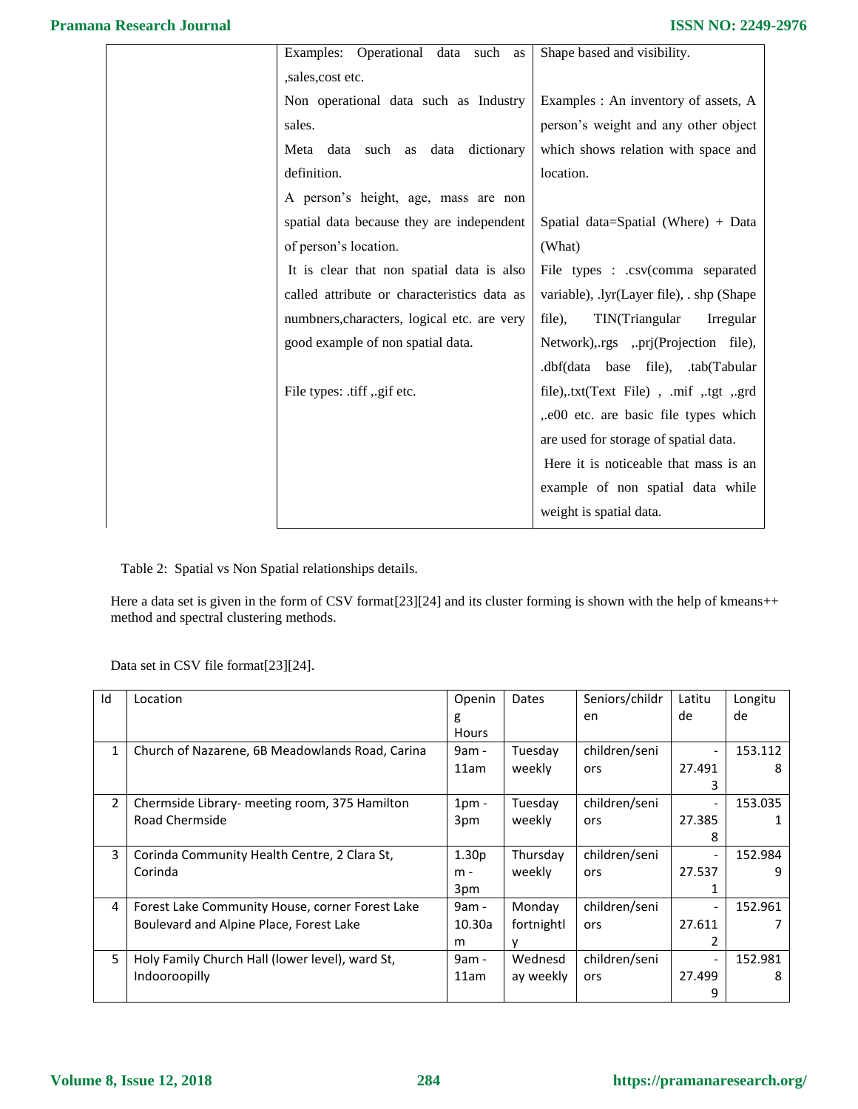| Examples: Operational data such<br>as       | Shape based and visibility.               |
|---------------------------------------------|-------------------------------------------|
| ,sales,cost etc.                            |                                           |
| Non operational data such as Industry       | Examples : An inventory of assets, A      |
| sales.                                      | person's weight and any other object      |
| Meta data such as data<br>dictionary        | which shows relation with space and       |
| definition.                                 | location.                                 |
| A person's height, age, mass are non        |                                           |
| spatial data because they are independent   | Spatial data=Spatial (Where) + Data       |
| of person's location.                       | (What)                                    |
| It is clear that non spatial data is also   | File types : .csv(comma separated         |
| called attribute or characteristics data as | variable), .lyr(Layer file), . shp (Shape |
| numbners, characters, logical etc. are very | file),<br>TIN(Triangular<br>Irregular     |
| good example of non spatial data.           | Network), rgs , prj(Projection file),     |
|                                             | .dbf(data base file), .tab(Tabular        |
| File types: .tiff ,.gif etc.                | file),.txt(Text File), .mif ,.tgt ,.grd   |
|                                             | ,.e00 etc. are basic file types which     |
|                                             | are used for storage of spatial data.     |
|                                             | Here it is noticeable that mass is an     |
|                                             | example of non spatial data while         |
|                                             | weight is spatial data.                   |

Table 2: Spatial vs Non Spatial relationships details.

Here a data set is given in the form of CSV format<sup>[23]</sup>[24] and its cluster forming is shown with the help of kmeans++ method and spectral clustering methods.

Data set in CSV file format[23][24].

| Id           | Location                                        | Openin            | Dates      | Seniors/childr | Latitu                   | Longitu |
|--------------|-------------------------------------------------|-------------------|------------|----------------|--------------------------|---------|
|              |                                                 | g<br><b>Hours</b> |            | en             | de                       | de      |
| $\mathbf{1}$ | Church of Nazarene, 6B Meadowlands Road, Carina | 9am -             | Tuesday    | children/seni  | $\overline{\phantom{a}}$ | 153.112 |
|              |                                                 | 11am              | weekly     | ors            | 27.491                   | 8       |
|              |                                                 |                   |            |                | 3                        |         |
| 2            | Chermside Library- meeting room, 375 Hamilton   | 1 <sub>pm</sub>   | Tuesday    | children/seni  | $\overline{\phantom{a}}$ | 153.035 |
|              | Road Chermside                                  | 3pm               | weekly     | ors            | 27.385                   |         |
|              |                                                 |                   |            |                | 8                        |         |
| 3            | Corinda Community Health Centre, 2 Clara St,    | 1.30 <sub>p</sub> | Thursday   | children/seni  | $\overline{\phantom{a}}$ | 152.984 |
|              | Corinda                                         | $m -$             | weekly     | ors            | 27.537                   | 9       |
|              |                                                 | 3pm               |            |                | 1                        |         |
| 4            | Forest Lake Community House, corner Forest Lake | 9am -             | Monday     | children/seni  | $\blacksquare$           | 152.961 |
|              | Boulevard and Alpine Place, Forest Lake         | 10.30a            | fortnightl | ors            | 27.611                   |         |
|              |                                                 | m                 | v          |                | 2                        |         |
| 5            | Holy Family Church Hall (lower level), ward St, | 9am -             | Wednesd    | children/seni  | $\overline{\phantom{a}}$ | 152.981 |
|              | Indooroopilly                                   | 11am              | ay weekly  | ors            | 27.499                   | 8       |
|              |                                                 |                   |            |                | 9                        |         |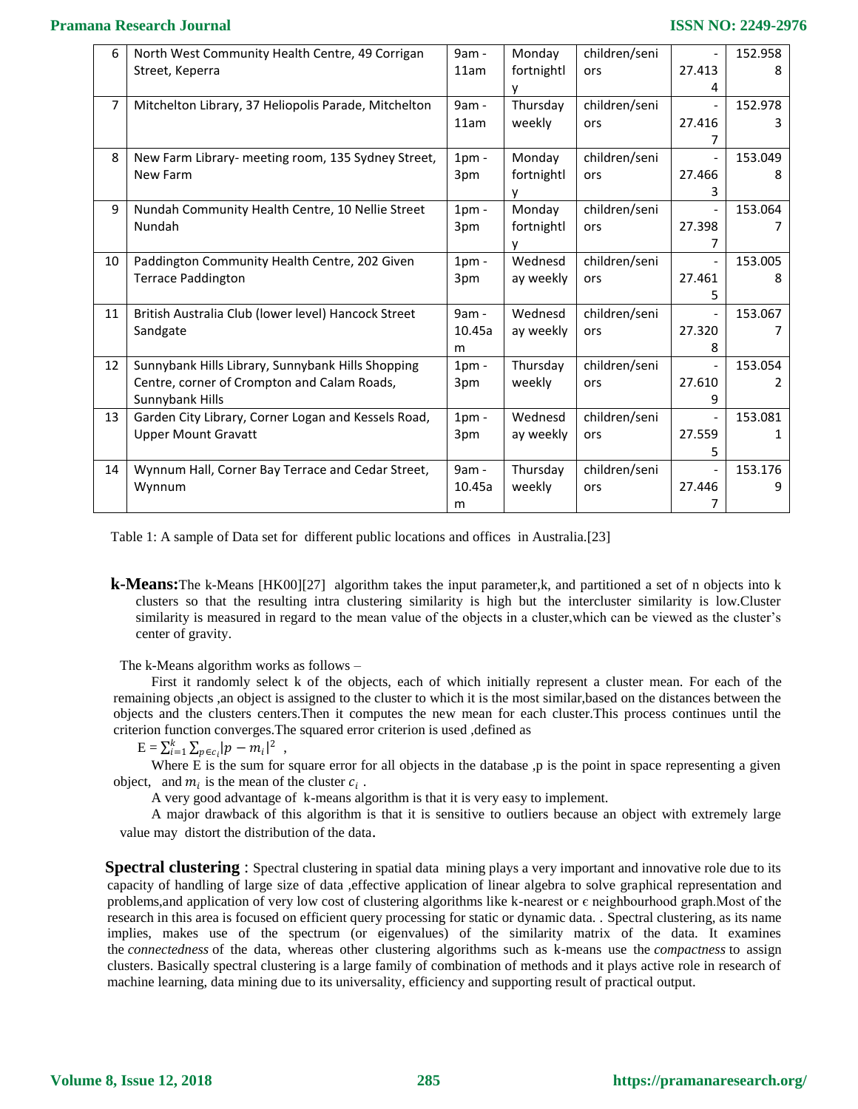| 6              | North West Community Health Centre, 49 Corrigan      | 9am -           | Monday     | children/seni |        | 152.958 |
|----------------|------------------------------------------------------|-----------------|------------|---------------|--------|---------|
|                | Street, Keperra                                      | 11am            | fortnightl | ors           | 27.413 | 8       |
|                |                                                      |                 | у          |               | 4      |         |
| $\overline{7}$ | Mitchelton Library, 37 Heliopolis Parade, Mitchelton | 9am -           | Thursday   | children/seni |        | 152.978 |
|                |                                                      | 11am            | weekly     | ors           | 27.416 | З       |
|                |                                                      |                 |            |               |        |         |
| 8              | New Farm Library- meeting room, 135 Sydney Street,   | $1pm$ -         | Monday     | children/seni |        | 153.049 |
|                | New Farm                                             | 3pm             | fortnightl | ors           | 27.466 | 8       |
|                |                                                      |                 | у          |               | 3      |         |
| 9              | Nundah Community Health Centre, 10 Nellie Street     | $1pm$ -         | Monday     | children/seni |        | 153.064 |
|                | Nundah                                               | 3pm             | fortnightl | ors           | 27.398 |         |
|                |                                                      |                 | v          |               | 7      |         |
| 10             | Paddington Community Health Centre, 202 Given        | $1pm$ -         | Wednesd    | children/seni |        | 153.005 |
|                | <b>Terrace Paddington</b>                            | 3pm             | ay weekly  | ors           | 27.461 | 8       |
|                |                                                      |                 |            |               | 5      |         |
| 11             | British Australia Club (lower level) Hancock Street  | $9am -$         | Wednesd    | children/seni |        | 153.067 |
|                | Sandgate                                             | 10.45a          | ay weekly  | ors           | 27.320 |         |
|                |                                                      | m               |            |               | 8      |         |
| 12             | Sunnybank Hills Library, Sunnybank Hills Shopping    | 1 <sub>pm</sub> | Thursday   | children/seni |        | 153.054 |
|                | Centre, corner of Crompton and Calam Roads,          | 3pm             | weekly     | ors           | 27.610 | 2       |
|                | Sunnybank Hills                                      |                 |            |               | 9      |         |
| 13             | Garden City Library, Corner Logan and Kessels Road,  | $1pm$ -         | Wednesd    | children/seni |        | 153.081 |
|                | <b>Upper Mount Gravatt</b>                           | 3pm             | ay weekly  | ors           | 27.559 |         |
|                |                                                      |                 |            |               | 5      |         |
| 14             | Wynnum Hall, Corner Bay Terrace and Cedar Street,    | 9am -           | Thursday   | children/seni |        | 153.176 |
|                | Wynnum                                               | 10.45a          | weekly     | ors           | 27.446 | 9       |
|                |                                                      | m               |            |               | 7      |         |

Table 1: A sample of Data set for different public locations and offices in Australia.[23]

**k-Means:**The k-Means [HK00][27] algorithm takes the input parameter,k, and partitioned a set of n objects into k clusters so that the resulting intra clustering similarity is high but the intercluster similarity is low.Cluster similarity is measured in regard to the mean value of the objects in a cluster,which can be viewed as the cluster's center of gravity.

The k-Means algorithm works as follows –

First it randomly select k of the objects, each of which initially represent a cluster mean. For each of the remaining objects ,an object is assigned to the cluster to which it is the most similar,based on the distances between the objects and the clusters centers.Then it computes the new mean for each cluster.This process continues until the criterion function converges.The squared error criterion is used ,defined as

 $\mathrm{E} = \sum_{i=1}^k \sum_{p \in c_i} |p - m_i|^2$  ,

Where E is the sum for square error for all objects in the database ,p is the point in space representing a given object, and  $m_i$  is the mean of the cluster  $c_i$ .

A very good advantage of k-means algorithm is that it is very easy to implement.

A major drawback of this algorithm is that it is sensitive to outliers because an object with extremely large value may distort the distribution of the data.

**Spectral clustering** : Spectral clustering in spatial data mining plays a very important and innovative role due to its capacity of handling of large size of data ,effective application of linear algebra to solve graphical representation and problems, and application of very low cost of clustering algorithms like k-nearest or  $\epsilon$  neighbourhood graph. Most of the research in this area is focused on efficient query processing for static or dynamic data. . Spectral clustering, as its name implies, makes use of the spectrum (or eigenvalues) of the similarity matrix of the data. It examines the *connectedness* of the data, whereas other clustering algorithms such as k-means use the *compactness* to assign clusters. Basically spectral clustering is a large family of combination of methods and it plays active role in research of machine learning, data mining due to its universality, efficiency and supporting result of practical output.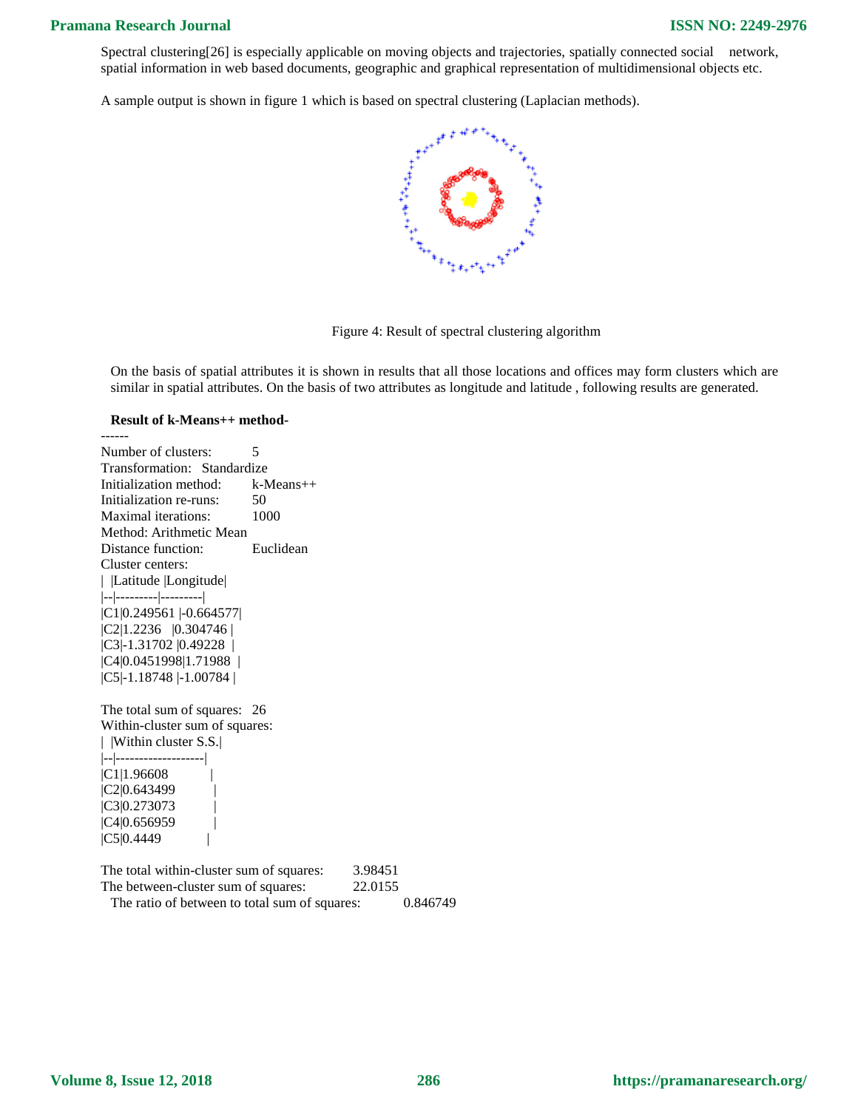Spectral clustering[26] is especially applicable on moving objects and trajectories, spatially connected social network, spatial information in web based documents, geographic and graphical representation of multidimensional objects etc.

A sample output is shown in figure 1 which is based on spectral clustering (Laplacian methods).



Figure 4: Result of spectral clustering algorithm

On the basis of spatial attributes it is shown in results that all those locations and offices may form clusters which are similar in spatial attributes. On the basis of two attributes as longitude and latitude , following results are generated.

#### **Result of k-Means++ method-**

------

Number of clusters: 5 Transformation: Standardize Initialization method: k-Means++ Initialization re-runs: 50 Maximal iterations: 1000 Method: Arithmetic Mean Distance function: Euclidean Cluster centers: | |Latitude |Longitude| |--|---------|---------| |C1|0.249561 |-0.664577| |C2|1.2236 |0.304746 | |C3|-1.31702 |0.49228 | |C4|0.0451998|1.71988 | |C5|-1.18748 |-1.00784 |

The total sum of squares: 26 Within-cluster sum of squares: | |Within cluster S.S.| |--|-------------------| |C1|1.96608 |  $|C2|0.643499$ |C3|0.273073 | |C4|0.656959  $|C5|0.4449$ 

| The total within-cluster sum of squares:      | 3.98451 |          |
|-----------------------------------------------|---------|----------|
| The between-cluster sum of squares:           | 22.0155 |          |
| The ratio of between to total sum of squares: |         | 0.846749 |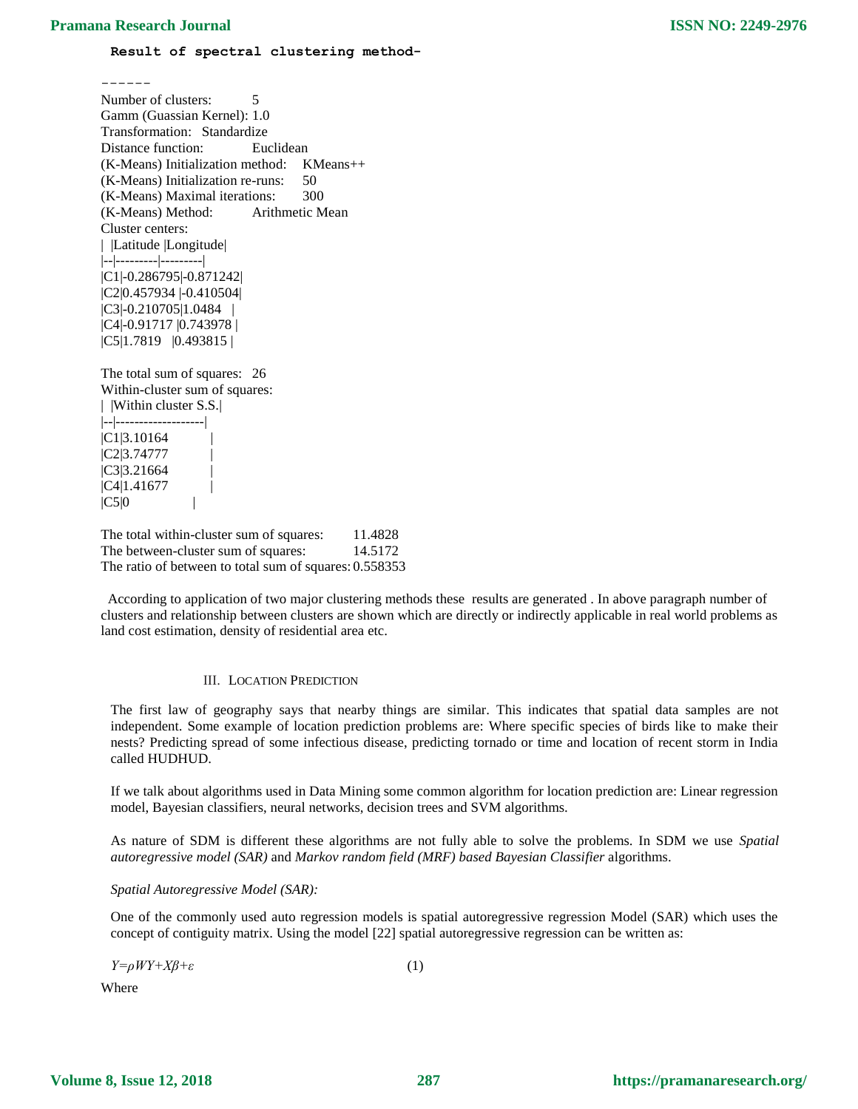## **Result of spectral clustering method-**

------ Number of clusters: 5 Gamm (Guassian Kernel): 1.0 Transformation: Standardize Distance function: Euclidean (K-Means) Initialization method: KMeans++ (K-Means) Initialization re-runs: 50 (K-Means) Maximal iterations: 300 (K-Means) Method: Arithmetic Mean Cluster centers: | |Latitude |Longitude| |--|---------|---------| |C1|-0.286795|-0.871242| |C2|0.457934 |-0.410504| |C3|-0.210705|1.0484 | |C4|-0.91717 |0.743978 | |C5|1.7819 |0.493815 |

The total sum of squares: 26 Within-cluster sum of squares: | |Within cluster S.S.| |--|-------------------|  $|C1|3.10164$ |C2|3.74777 |  $|C3|3.21664$ |C4|1.41677 |  $|C5|0$ 

The total within-cluster sum of squares: 11.4828 The between-cluster sum of squares: 14.5172 The ratio of between to total sum of squares: 0.558353

 According to application of two major clustering methods these results are generated . In above paragraph number of clusters and relationship between clusters are shown which are directly or indirectly applicable in real world problems as land cost estimation, density of residential area etc.

# III. LOCATION PREDICTION

The first law of geography says that nearby things are similar. This indicates that spatial data samples are not independent. Some example of location prediction problems are: Where specific species of birds like to make their nests? Predicting spread of some infectious disease, predicting tornado or time and location of recent storm in India called HUDHUD.

If we talk about algorithms used in Data Mining some common algorithm for location prediction are: Linear regression model, Bayesian classifiers, neural networks, decision trees and SVM algorithms.

As nature of SDM is different these algorithms are not fully able to solve the problems. In SDM we use *Spatial autoregressive model (SAR)* and *Markov random field (MRF) based Bayesian Classifier* algorithms.

# *Spatial Autoregressive Model (SAR):*

One of the commonly used auto regression models is spatial autoregressive regression Model (SAR) which uses the concept of contiguity matrix. Using the model [22] spatial autoregressive regression can be written as:

*Y=ρWY+Xβ+ε* (1)

Where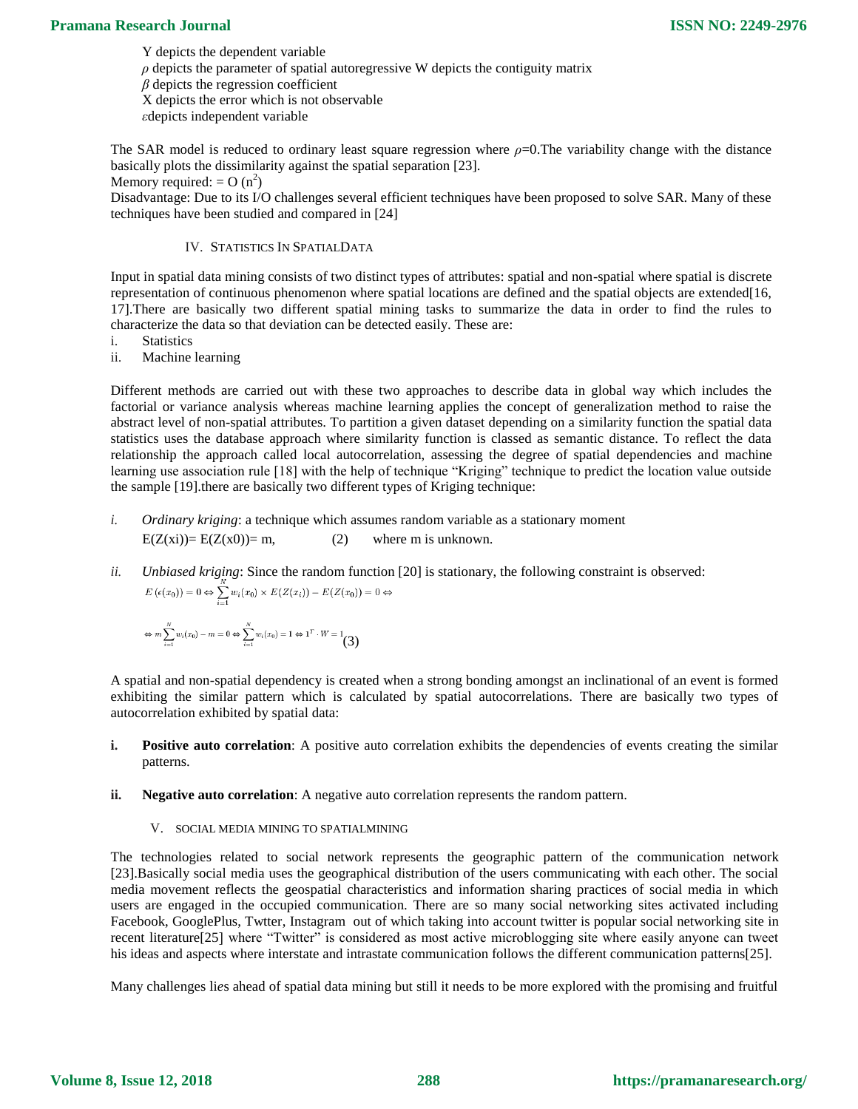Y depicts the dependent variable  $\rho$  depicts the parameter of spatial autoregressive W depicts the contiguity matrix *β* depicts the regression coefficient X depicts the error which is not observable *ε*depicts independent variable

The SAR model is reduced to ordinary least square regression where  $\rho$ =0. The variability change with the distance basically plots the dissimilarity against the spatial separation [23]. Memory required: =  $O(n^2)$ 

Disadvantage: Due to its I/O challenges several efficient techniques have been proposed to solve SAR. Many of these techniques have been studied and compared in [24]

## IV. STATISTICS IN SPATIALDATA

Input in spatial data mining consists of two distinct types of attributes: spatial and non-spatial where spatial is discrete representation of continuous phenomenon where spatial locations are defined and the spatial objects are extended[16, 17].There are basically two different spatial mining tasks to summarize the data in order to find the rules to characterize the data so that deviation can be detected easily. These are:

- i. Statistics
- ii. Machine learning

Different methods are carried out with these two approaches to describe data in global way which includes the factorial or variance analysis whereas machine learning applies the concept of generalization method to raise the abstract level of non-spatial attributes. To partition a given dataset depending on a similarity function the spatial data statistics uses the database approach where similarity function is classed as semantic distance. To reflect the data relationship the approach called local autocorrelation, assessing the degree of spatial dependencies and machine learning use association rule [18] with the help of technique "Kriging" technique to predict the location value outside the sample [19].there are basically two different types of Kriging technique:

- *i. Ordinary kriging*: a technique which assumes random variable as a stationary moment  $E(Z(xi))=E(Z(x0))=m,$  (2) where m is unknown.
- *ii. Unbiased kriging*: Since the random function [20] is stationary, the following constraint is observed:  $E\left(\epsilon(x_0)\right) = 0 \Leftrightarrow \sum_{i=1}^{N} w_i(x_0) \times E(Z(x_i)) - E(Z(x_0)) = 0 \Leftrightarrow$

$$
\Leftrightarrow m \sum_{i=1}^{N} w_i(x_0) - m = 0 \Leftrightarrow \sum_{i=1}^{N} w_i(x_0) = 1 \Leftrightarrow 1^T \cdot W = 1 \tag{3}
$$

A spatial and non-spatial dependency is created when a strong bonding amongst an inclinational of an event is formed exhibiting the similar pattern which is calculated by spatial autocorrelations. There are basically two types of autocorrelation exhibited by spatial data:

- **i. Positive auto correlation**: A positive auto correlation exhibits the dependencies of events creating the similar patterns.
- **ii. Negative auto correlation**: A negative auto correlation represents the random pattern.
	- V. SOCIAL MEDIA MINING TO SPATIALMINING

The technologies related to social network represents the geographic pattern of the communication network [23].Basically social media uses the geographical distribution of the users communicating with each other. The social media movement reflects the geospatial characteristics and information sharing practices of social media in which users are engaged in the occupied communication. There are so many social networking sites activated including Facebook, GooglePlus, Twtter, Instagram out of which taking into account twitter is popular social networking site in recent literature[25] where "Twitter" is considered as most active microblogging site where easily anyone can tweet his ideas and aspects where interstate and intrastate communication follows the different communication patterns[25].

Many challenges li*e*s ahead of spatial data mining but still it needs to be more explored with the promising and fruitful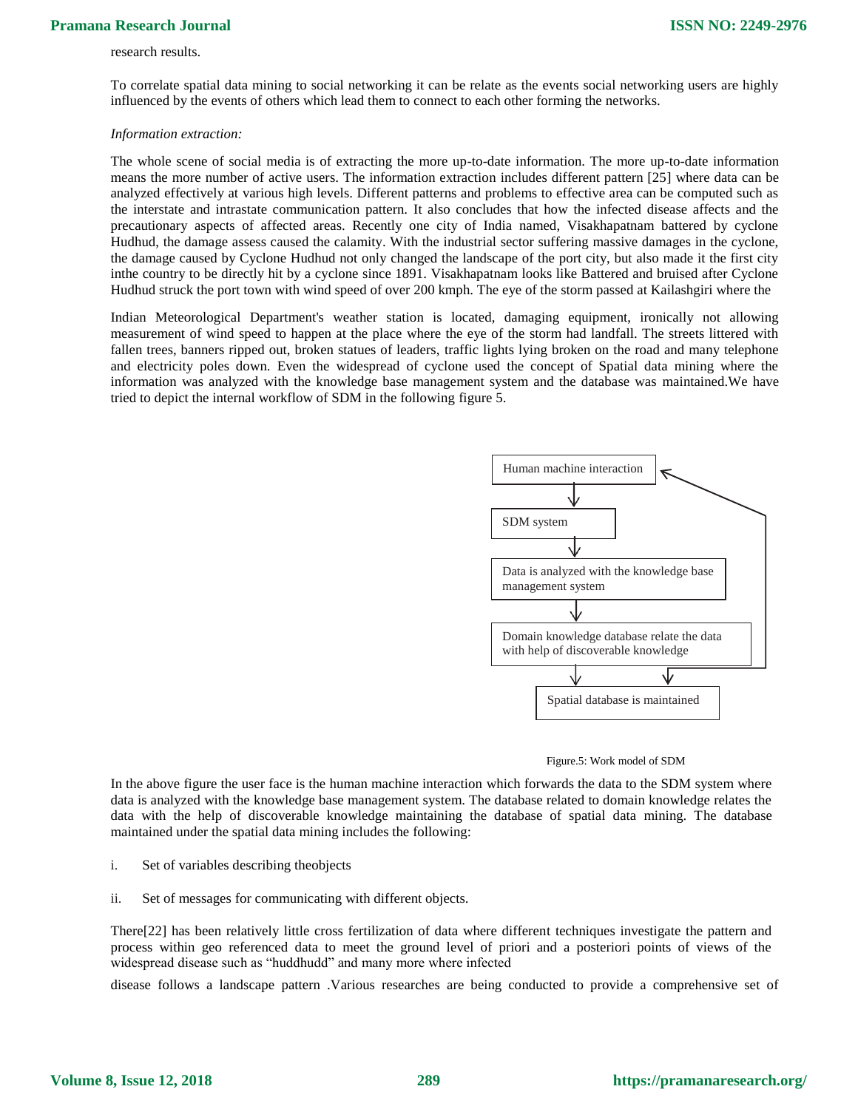## research results.

To correlate spatial data mining to social networking it can be relate as the events social networking users are highly influenced by the events of others which lead them to connect to each other forming the networks.

#### *Information extraction:*

The whole scene of social media is of extracting the more up-to-date information. The more up-to-date information means the more number of active users. The information extraction includes different pattern [25] where data can be analyzed effectively at various high levels. Different patterns and problems to effective area can be computed such as the interstate and intrastate communication pattern. It also concludes that how the infected disease affects and the precautionary aspects of affected areas. Recently one city of India named, Visakhapatnam battered by cyclone Hudhud, the damage assess caused the calamity. With the industrial sector suffering massive damages in the cyclone, the damage caused by Cyclone Hudhud not only changed the landscape of the port city, but also made it the first city inthe country to be directly hit by a cyclone since 1891. Visakhapatnam looks like Battered and bruised after Cyclone Hudhud struck the port town with wind speed of over 200 kmph. The eye of the storm passed at Kailashgiri where the

Indian Meteorological Department's weather station is located, damaging equipment, ironically not allowing measurement of wind speed to happen at the place where the eye of the storm had landfall. The streets littered with fallen trees, banners ripped out, broken statues of leaders, traffic lights lying broken on the road and many telephone and electricity poles down. Even the widespread of cyclone used the concept of Spatial data mining where the information was analyzed with the knowledge base management system and the database was maintained.We have tried to depict the internal workflow of SDM in the following figure 5.



#### Figure.5: Work model of SDM

In the above figure the user face is the human machine interaction which forwards the data to the SDM system where data is analyzed with the knowledge base management system. The database related to domain knowledge relates the data with the help of discoverable knowledge maintaining the database of spatial data mining. The database maintained under the spatial data mining includes the following:

- i. Set of variables describing theobjects
- ii. Set of messages for communicating with different objects.

There[22] has been relatively little cross fertilization of data where different techniques investigate the pattern and process within geo referenced data to meet the ground level of priori and a posteriori points of views of the widespread disease such as "huddhudd" and many more where infected

disease follows a landscape pattern .Various researches are being conducted to provide a comprehensive set of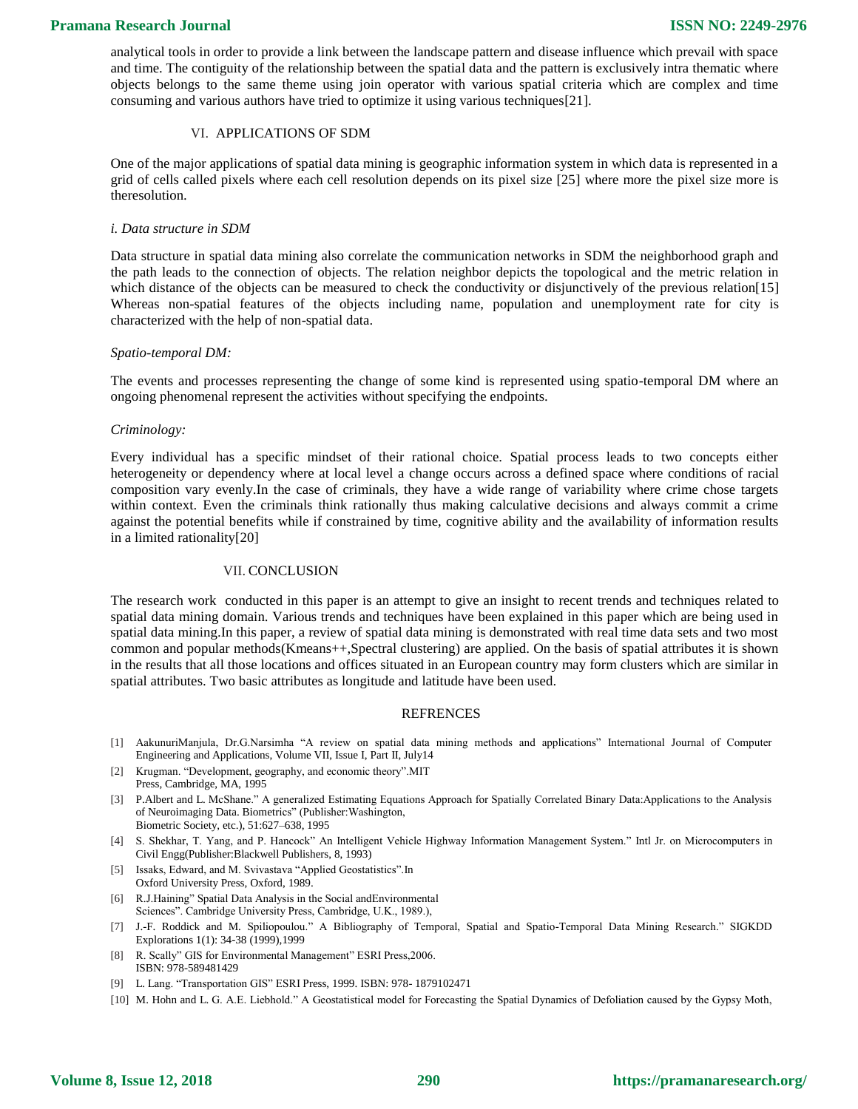analytical tools in order to provide a link between the landscape pattern and disease influence which prevail with space and time. The contiguity of the relationship between the spatial data and the pattern is exclusively intra thematic where objects belongs to the same theme using join operator with various spatial criteria which are complex and time consuming and various authors have tried to optimize it using various techniques[21].

#### VI. APPLICATIONS OF SDM

One of the major applications of spatial data mining is geographic information system in which data is represented in a grid of cells called pixels where each cell resolution depends on its pixel size [25] where more the pixel size more is theresolution.

#### *i. Data structure in SDM*

Data structure in spatial data mining also correlate the communication networks in SDM the neighborhood graph and the path leads to the connection of objects. The relation neighbor depicts the topological and the metric relation in which distance of the objects can be measured to check the conductivity or disjunctively of the previous relation[15] Whereas non-spatial features of the objects including name, population and unemployment rate for city is characterized with the help of non-spatial data.

#### *Spatio-temporal DM:*

The events and processes representing the change of some kind is represented using spatio-temporal DM where an ongoing phenomenal represent the activities without specifying the endpoints.

#### *Criminology:*

Every individual has a specific mindset of their rational choice. Spatial process leads to two concepts either heterogeneity or dependency where at local level a change occurs across a defined space where conditions of racial composition vary evenly.In the case of criminals, they have a wide range of variability where crime chose targets within context. Even the criminals think rationally thus making calculative decisions and always commit a crime against the potential benefits while if constrained by time, cognitive ability and the availability of information results in a limited rationality[20]

## VII. CONCLUSION

The research work conducted in this paper is an attempt to give an insight to recent trends and techniques related to spatial data mining domain. Various trends and techniques have been explained in this paper which are being used in spatial data mining.In this paper, a review of spatial data mining is demonstrated with real time data sets and two most common and popular methods(Kmeans++,Spectral clustering) are applied. On the basis of spatial attributes it is shown in the results that all those locations and offices situated in an European country may form clusters which are similar in spatial attributes. Two basic attributes as longitude and latitude have been used.

#### **REFRENCES**

- [1] AakunuriManjula, Dr.G.Narsimha "A review on spatial data mining methods and applications" International Journal of Computer Engineering and Applications, Volume VII, Issue I, Part II, July14
- [2] Krugman. "Development, geography, and economic theory".MIT Press, Cambridge, MA, 1995
- [3] P.Albert and L. McShane." A generalized Estimating Equations Approach for Spatially Correlated Binary Data:Applications to the Analysis of Neuroimaging Data. Biometrics" (Publisher:Washington, Biometric Society, etc.), 51:627–638, 1995
- [4] S. Shekhar, T. Yang, and P. Hancock" An Intelligent Vehicle Highway Information Management System." Intl Jr. on Microcomputers in Civil Engg(Publisher:Blackwell Publishers, 8, 1993)
- [5] Issaks, Edward, and M. Svivastava "Applied Geostatistics".In Oxford University Press, Oxford, 1989.
- [6] R.J.Haining" Spatial Data Analysis in the Social andEnvironmental Sciences". Cambridge University Press, Cambridge, U.K., 1989.),
- [7] J.-F. Roddick and M. Spiliopoulou." A Bibliography of Temporal, Spatial and Spatio-Temporal Data Mining Research." SIGKDD Explorations 1(1): 34-38 (1999),1999
- [8] R. Scally" GIS for Environmental Management" ESRI Press,2006. ISBN: 978-589481429
- [9] L. Lang. "Transportation GIS" ESRI Press, 1999. ISBN: 978- 1879102471
- [10] M. Hohn and L. G. A.E. Liebhold." A Geostatistical model for Forecasting the Spatial Dynamics of Defoliation caused by the Gypsy Moth,